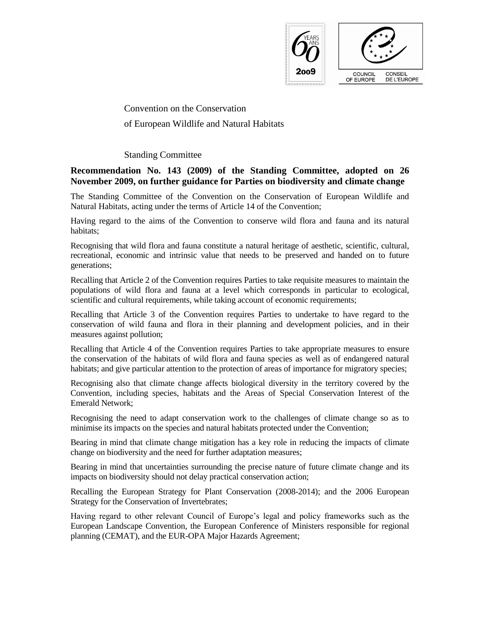

Convention on the Conservation of European Wildlife and Natural Habitats

Standing Committee

# **Recommendation No. 143 (2009) of the Standing Committee, adopted on 26 November 2009, on further guidance for Parties on biodiversity and climate change**

The Standing Committee of the Convention on the Conservation of European Wildlife and Natural Habitats, acting under the terms of Article 14 of the Convention;

Having regard to the aims of the Convention to conserve wild flora and fauna and its natural habitats;

Recognising that wild flora and fauna constitute a natural heritage of aesthetic, scientific, cultural, recreational, economic and intrinsic value that needs to be preserved and handed on to future generations;

Recalling that Article 2 of the Convention requires Parties to take requisite measures to maintain the populations of wild flora and fauna at a level which corresponds in particular to ecological, scientific and cultural requirements, while taking account of economic requirements;

Recalling that Article 3 of the Convention requires Parties to undertake to have regard to the conservation of wild fauna and flora in their planning and development policies, and in their measures against pollution;

Recalling that Article 4 of the Convention requires Parties to take appropriate measures to ensure the conservation of the habitats of wild flora and fauna species as well as of endangered natural habitats; and give particular attention to the protection of areas of importance for migratory species;

Recognising also that climate change affects biological diversity in the territory covered by the Convention, including species, habitats and the Areas of Special Conservation Interest of the Emerald Network;

Recognising the need to adapt conservation work to the challenges of climate change so as to minimise its impacts on the species and natural habitats protected under the Convention;

Bearing in mind that climate change mitigation has a key role in reducing the impacts of climate change on biodiversity and the need for further adaptation measures;

Bearing in mind that uncertainties surrounding the precise nature of future climate change and its impacts on biodiversity should not delay practical conservation action;

Recalling the European Strategy for Plant Conservation (2008-2014); and the 2006 European Strategy for the Conservation of Invertebrates;

Having regard to other relevant Council of Europe's legal and policy frameworks such as the European Landscape Convention, the European Conference of Ministers responsible for regional planning (CEMAT), and the EUR-OPA Major Hazards Agreement;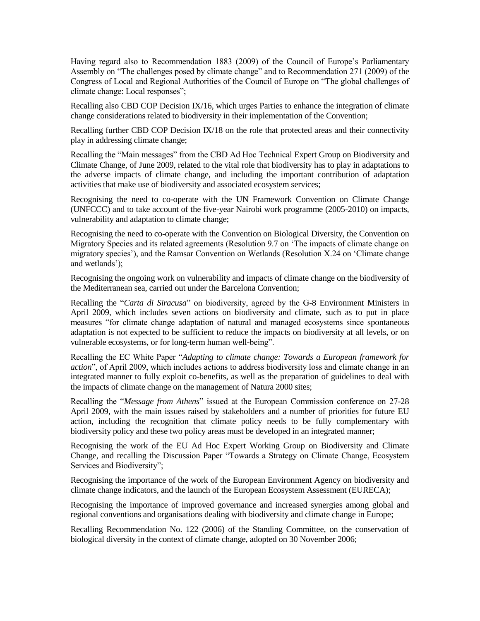Having regard also to Recommendation 1883 (2009) of the Council of Europe's Parliamentary Assembly on "The challenges posed by climate change" and to Recommendation 271 (2009) of the Congress of Local and Regional Authorities of the Council of Europe on "The global challenges of climate change: Local responses";

Recalling also CBD COP Decision IX/16, which urges Parties to enhance the integration of climate change considerations related to biodiversity in their implementation of the Convention;

Recalling further CBD COP Decision IX/18 on the role that protected areas and their connectivity play in addressing climate change;

Recalling the "Main messages" from the CBD Ad Hoc Technical Expert Group on Biodiversity and Climate Change, of June 2009, related to the vital role that biodiversity has to play in adaptations to the adverse impacts of climate change, and including the important contribution of adaptation activities that make use of biodiversity and associated ecosystem services;

Recognising the need to co-operate with the UN Framework Convention on Climate Change (UNFCCC) and to take account of the five-year Nairobi work programme (2005-2010) on impacts, vulnerability and adaptation to climate change;

Recognising the need to co-operate with the Convention on Biological Diversity, the Convention on Migratory Species and its related agreements (Resolution 9.7 on 'The impacts of climate change on migratory species'), and the Ramsar Convention on Wetlands (Resolution X.24 on 'Climate change and wetlands');

Recognising the ongoing work on vulnerability and impacts of climate change on the biodiversity of the Mediterranean sea, carried out under the Barcelona Convention;

Recalling the "*Carta di Siracusa*" on biodiversity, agreed by the G-8 Environment Ministers in April 2009, which includes seven actions on biodiversity and climate, such as to put in place measures "for climate change adaptation of natural and managed ecosystems since spontaneous adaptation is not expected to be sufficient to reduce the impacts on biodiversity at all levels, or on vulnerable ecosystems, or for long-term human well-being".

Recalling the EC White Paper "*Adapting to climate change: Towards a European framework for action*", of April 2009, which includes actions to address biodiversity loss and climate change in an integrated manner to fully exploit co-benefits, as well as the preparation of guidelines to deal with the impacts of climate change on the management of Natura 2000 sites;

Recalling the "*Message from Athens*" issued at the European Commission conference on 27-28 April 2009, with the main issues raised by stakeholders and a number of priorities for future EU action, including the recognition that climate policy needs to be fully complementary with biodiversity policy and these two policy areas must be developed in an integrated manner;

Recognising the work of the EU Ad Hoc Expert Working Group on Biodiversity and Climate Change, and recalling the Discussion Paper "Towards a Strategy on Climate Change, Ecosystem Services and Biodiversity";

Recognising the importance of the work of the European Environment Agency on biodiversity and climate change indicators, and the launch of the European Ecosystem Assessment (EURECA);

Recognising the importance of improved governance and increased synergies among global and regional conventions and organisations dealing with biodiversity and climate change in Europe;

Recalling Recommendation No. 122 (2006) of the Standing Committee, on the conservation of biological diversity in the context of climate change, adopted on 30 November 2006;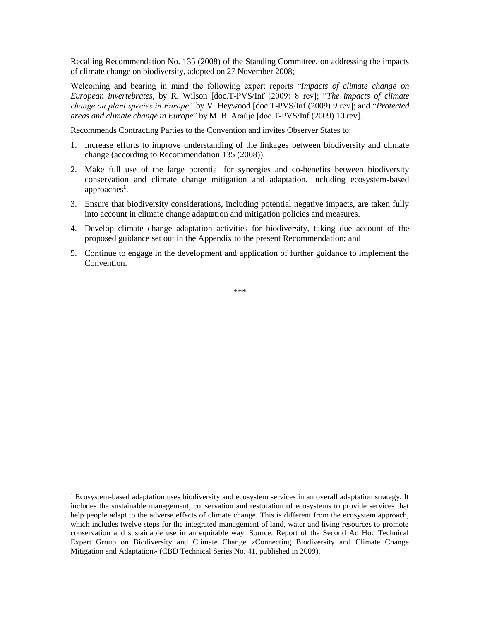Recalling Recommendation No. 135 (2008) of the Standing Committee, on addressing the impacts of climate change on biodiversity, adopted on 27 November 2008;

Welcoming and bearing in mind the following expert reports "*Impacts of climate change on European invertebrates*, by R. Wilson [doc.T-PVS/Inf (2009) 8 rev]; "*The impacts of climate change on plant species in Europe"* by V. Heywood [doc.T-PVS/Inf (2009) 9 rev]; and "*Protected areas and climate change in Europe*" by M. B. Araújo [doc.T-PVS/Inf (2009) 10 rev].

Recommends Contracting Parties to the Convention and invites Observer States to:

- 1. Increase efforts to improve understanding of the linkages between biodiversity and climate change (according to Recommendation 135 (2008)).
- 2. Make full use of the large potential for synergies and co-benefits between biodiversity conservation and climate change mitigation and adaptation, including ecosystem-based approaches**<sup>1</sup>** .
- 3. Ensure that biodiversity considerations, including potential negative impacts, are taken fully into account in climate change adaptation and mitigation policies and measures.
- 4. Develop climate change adaptation activities for biodiversity, taking due account of the proposed guidance set out in the Appendix to the present Recommendation; and
- 5. Continue to engage in the development and application of further guidance to implement the Convention.

\*\*\*

 $\overline{a}$ 

 $1$  Ecosystem-based adaptation uses biodiversity and ecosystem services in an overall adaptation strategy. It includes the sustainable management, conservation and restoration of ecosystems to provide services that help people adapt to the adverse effects of climate change. This is different from the ecosystem approach, which includes twelve steps for the integrated management of land, water and living resources to promote conservation and sustainable use in an equitable way. Source: Report of the Second Ad Hoc Technical Expert Group on Biodiversity and Climate Change «Connecting Biodiversity and Climate Change Mitigation and Adaptation» (CBD Technical Series No. 41, published in 2009).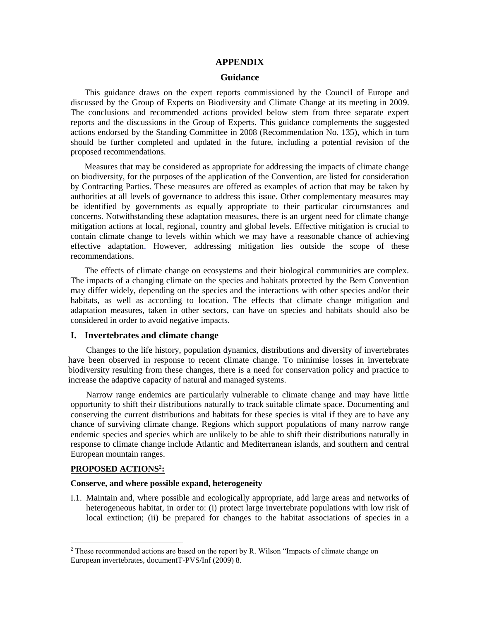#### **APPENDIX**

## **Guidance**

This guidance draws on the expert reports commissioned by the Council of Europe and discussed by the Group of Experts on Biodiversity and Climate Change at its meeting in 2009. The conclusions and recommended actions provided below stem from three separate expert reports and the discussions in the Group of Experts. This guidance complements the suggested actions endorsed by the Standing Committee in 2008 (Recommendation No. 135), which in turn should be further completed and updated in the future, including a potential revision of the proposed recommendations.

Measures that may be considered as appropriate for addressing the impacts of climate change on biodiversity, for the purposes of the application of the Convention, are listed for consideration by Contracting Parties. These measures are offered as examples of action that may be taken by authorities at all levels of governance to address this issue. Other complementary measures may be identified by governments as equally appropriate to their particular circumstances and concerns. Notwithstanding these adaptation measures, there is an urgent need for climate change mitigation actions at local, regional, country and global levels. Effective mitigation is crucial to contain climate change to levels within which we may have a reasonable chance of achieving effective adaptation. However, addressing mitigation lies outside the scope of these recommendations.

The effects of climate change on ecosystems and their biological communities are complex. The impacts of a changing climate on the species and habitats protected by the Bern Convention may differ widely, depending on the species and the interactions with other species and/or their habitats, as well as according to location. The effects that climate change mitigation and adaptation measures, taken in other sectors, can have on species and habitats should also be considered in order to avoid negative impacts.

#### **I. Invertebrates and climate change**

Changes to the life history, population dynamics, distributions and diversity of invertebrates have been observed in response to recent climate change. To minimise losses in invertebrate biodiversity resulting from these changes, there is a need for conservation policy and practice to increase the adaptive capacity of natural and managed systems.

Narrow range endemics are particularly vulnerable to climate change and may have little opportunity to shift their distributions naturally to track suitable climate space. Documenting and conserving the current distributions and habitats for these species is vital if they are to have any chance of surviving climate change. Regions which support populations of many narrow range endemic species and species which are unlikely to be able to shift their distributions naturally in response to climate change include Atlantic and Mediterranean islands, and southern and central European mountain ranges.

#### **PROPOSED ACTIONS<sup>2</sup> :**

 $\overline{a}$ 

## **Conserve, and where possible expand, heterogeneity**

I.1. Maintain and, where possible and ecologically appropriate, add large areas and networks of heterogeneous habitat, in order to: (i) protect large invertebrate populations with low risk of local extinction; (ii) be prepared for changes to the habitat associations of species in a

 $2$  These recommended actions are based on the report by R. Wilson "Impacts of climate change on European invertebrates, documentT-PVS/Inf (2009) 8.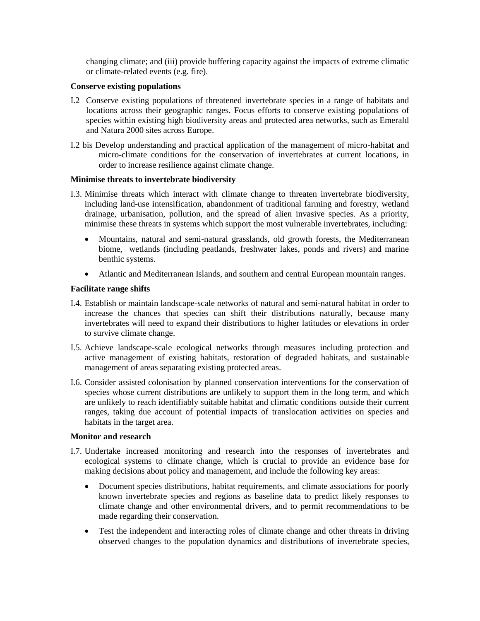changing climate; and (iii) provide buffering capacity against the impacts of extreme climatic or climate-related events (e.g. fire).

# **Conserve existing populations**

- I.2 Conserve existing populations of threatened invertebrate species in a range of habitats and locations across their geographic ranges. Focus efforts to conserve existing populations of species within existing high biodiversity areas and protected area networks, such as Emerald and Natura 2000 sites across Europe.
- I.2 bis Develop understanding and practical application of the management of micro-habitat and micro-climate conditions for the conservation of invertebrates at current locations, in order to increase resilience against climate change.

### **Minimise threats to invertebrate biodiversity**

- I.3. Minimise threats which interact with climate change to threaten invertebrate biodiversity, including land-use intensification, abandonment of traditional farming and forestry, wetland drainage, urbanisation, pollution, and the spread of alien invasive species. As a priority, minimise these threats in systems which support the most vulnerable invertebrates, including:
	- Mountains, natural and semi-natural grasslands, old growth forests, the Mediterranean biome, wetlands (including peatlands, freshwater lakes, ponds and rivers) and marine benthic systems.
	- Atlantic and Mediterranean Islands, and southern and central European mountain ranges.

# **Facilitate range shifts**

- I.4. Establish or maintain landscape-scale networks of natural and semi-natural habitat in order to increase the chances that species can shift their distributions naturally, because many invertebrates will need to expand their distributions to higher latitudes or elevations in order to survive climate change.
- I.5. Achieve landscape-scale ecological networks through measures including protection and active management of existing habitats, restoration of degraded habitats, and sustainable management of areas separating existing protected areas.
- I.6. Consider assisted colonisation by planned conservation interventions for the conservation of species whose current distributions are unlikely to support them in the long term, and which are unlikely to reach identifiably suitable habitat and climatic conditions outside their current ranges, taking due account of potential impacts of translocation activities on species and habitats in the target area.

# **Monitor and research**

- I.7. Undertake increased monitoring and research into the responses of invertebrates and ecological systems to climate change, which is crucial to provide an evidence base for making decisions about policy and management, and include the following key areas:
	- Document species distributions, habitat requirements, and climate associations for poorly known invertebrate species and regions as baseline data to predict likely responses to climate change and other environmental drivers, and to permit recommendations to be made regarding their conservation.
	- Test the independent and interacting roles of climate change and other threats in driving observed changes to the population dynamics and distributions of invertebrate species,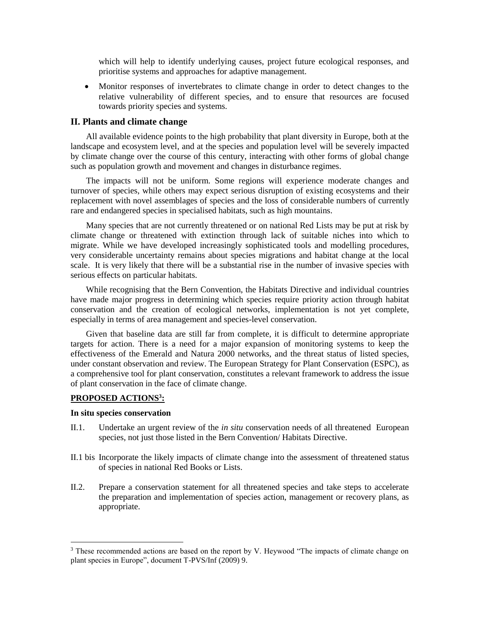which will help to identify underlying causes, project future ecological responses, and prioritise systems and approaches for adaptive management.

 Monitor responses of invertebrates to climate change in order to detect changes to the relative vulnerability of different species, and to ensure that resources are focused towards priority species and systems.

#### **II. Plants and climate change**

All available evidence points to the high probability that plant diversity in Europe, both at the landscape and ecosystem level, and at the species and population level will be severely impacted by climate change over the course of this century, interacting with other forms of global change such as population growth and movement and changes in disturbance regimes.

The impacts will not be uniform. Some regions will experience moderate changes and turnover of species, while others may expect serious disruption of existing ecosystems and their replacement with novel assemblages of species and the loss of considerable numbers of currently rare and endangered species in specialised habitats, such as high mountains.

Many species that are not currently threatened or on national Red Lists may be put at risk by climate change or threatened with extinction through lack of suitable niches into which to migrate. While we have developed increasingly sophisticated tools and modelling procedures, very considerable uncertainty remains about species migrations and habitat change at the local scale. It is very likely that there will be a substantial rise in the number of invasive species with serious effects on particular habitats.

While recognising that the Bern Convention, the Habitats Directive and individual countries have made major progress in determining which species require priority action through habitat conservation and the creation of ecological networks, implementation is not yet complete, especially in terms of area management and species-level conservation.

Given that baseline data are still far from complete, it is difficult to determine appropriate targets for action. There is a need for a major expansion of monitoring systems to keep the effectiveness of the Emerald and Natura 2000 networks, and the threat status of listed species, under constant observation and review. The European Strategy for Plant Conservation (ESPC), as a comprehensive tool for plant conservation, constitutes a relevant framework to address the issue of plant conservation in the face of climate change.

#### **PROPOSED ACTIONS<sup>3</sup> :**

#### **In situ species conservation**

 $\overline{a}$ 

- II.1. Undertake an urgent review of the *in situ* conservation needs of all threatened European species, not just those listed in the Bern Convention/ Habitats Directive.
- II.1 bis Incorporate the likely impacts of climate change into the assessment of threatened status of species in national Red Books or Lists.
- II.2. Prepare a conservation statement for all threatened species and take steps to accelerate the preparation and implementation of species action, management or recovery plans, as appropriate.

<sup>&</sup>lt;sup>3</sup> These recommended actions are based on the report by V. Heywood "The impacts of climate change on plant species in Europe", document T-PVS/Inf (2009) 9.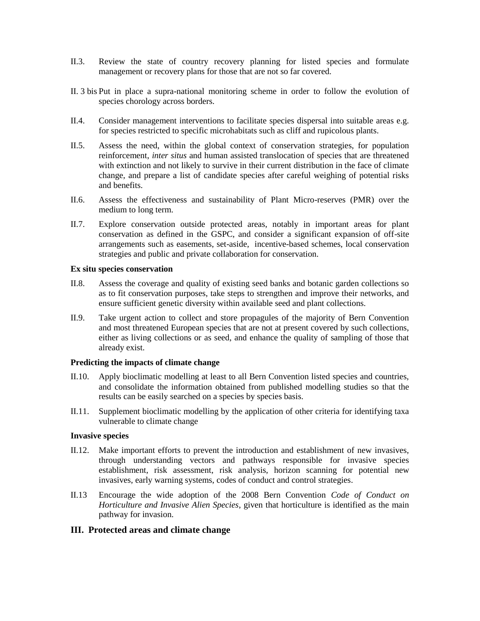- II.3. Review the state of country recovery planning for listed species and formulate management or recovery plans for those that are not so far covered.
- II. 3 bis Put in place a supra-national monitoring scheme in order to follow the evolution of species chorology across borders.
- II.4. Consider management interventions to facilitate species dispersal into suitable areas e.g. for species restricted to specific microhabitats such as cliff and rupicolous plants.
- II.5. Assess the need, within the global context of conservation strategies, for population reinforcement, *inter situs* and human assisted translocation of species that are threatened with extinction and not likely to survive in their current distribution in the face of climate change, and prepare a list of candidate species after careful weighing of potential risks and benefits.
- II.6. Assess the effectiveness and sustainability of Plant Micro-reserves (PMR) over the medium to long term.
- II.7. Explore conservation outside protected areas, notably in important areas for plant conservation as defined in the GSPC, and consider a significant expansion of off-site arrangements such as easements, set-aside, incentive-based schemes, local conservation strategies and public and private collaboration for conservation.

### **Ex situ species conservation**

- II.8. Assess the coverage and quality of existing seed banks and botanic garden collections so as to fit conservation purposes, take steps to strengthen and improve their networks, and ensure sufficient genetic diversity within available seed and plant collections.
- II.9. Take urgent action to collect and store propagules of the majority of Bern Convention and most threatened European species that are not at present covered by such collections, either as living collections or as seed, and enhance the quality of sampling of those that already exist.

# **Predicting the impacts of climate change**

- II.10. Apply bioclimatic modelling at least to all Bern Convention listed species and countries, and consolidate the information obtained from published modelling studies so that the results can be easily searched on a species by species basis.
- II.11. Supplement bioclimatic modelling by the application of other criteria for identifying taxa vulnerable to climate change

# **Invasive species**

- II.12. Make important efforts to prevent the introduction and establishment of new invasives, through understanding vectors and pathways responsible for invasive species establishment, risk assessment, risk analysis, horizon scanning for potential new invasives, early warning systems, codes of conduct and control strategies.
- II.13 Encourage the wide adoption of the 2008 Bern Convention *Code of Conduct on Horticulture and Invasive Alien Species*, given that horticulture is identified as the main pathway for invasion.

# **III. Protected areas and climate change**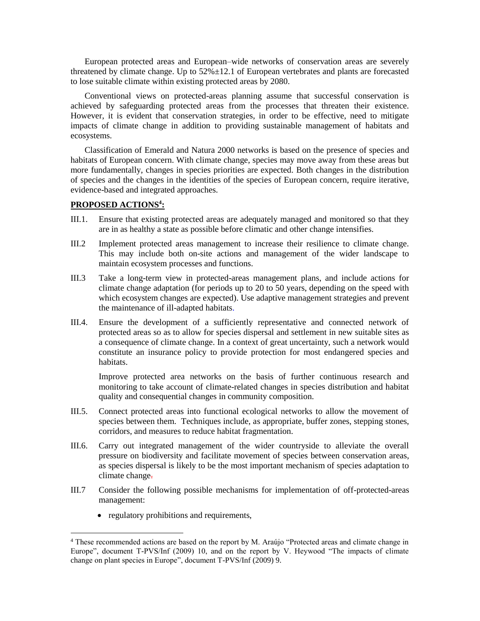European protected areas and European–wide networks of conservation areas are severely threatened by climate change. Up to  $52\% \pm 12.1$  of European vertebrates and plants are forecasted to lose suitable climate within existing protected areas by 2080.

Conventional views on protected-areas planning assume that successful conservation is achieved by safeguarding protected areas from the processes that threaten their existence. However, it is evident that conservation strategies, in order to be effective, need to mitigate impacts of climate change in addition to providing sustainable management of habitats and ecosystems.

Classification of Emerald and Natura 2000 networks is based on the presence of species and habitats of European concern. With climate change, species may move away from these areas but more fundamentally, changes in species priorities are expected. Both changes in the distribution of species and the changes in the identities of the species of European concern, require iterative, evidence-based and integrated approaches.

## **PROPOSED ACTIONS<sup>4</sup> :**

- III.1. Ensure that existing protected areas are adequately managed and monitored so that they are in as healthy a state as possible before climatic and other change intensifies.
- III.2 Implement protected areas management to increase their resilience to climate change. This may include both on-site actions and management of the wider landscape to maintain ecosystem processes and functions.
- III.3 Take a long-term view in protected-areas management plans, and include actions for climate change adaptation (for periods up to 20 to 50 years, depending on the speed with which ecosystem changes are expected). Use adaptive management strategies and prevent the maintenance of ill-adapted habitats.
- III.4. Ensure the development of a sufficiently representative and connected network of protected areas so as to allow for species dispersal and settlement in new suitable sites as a consequence of climate change. In a context of great uncertainty, such a network would constitute an insurance policy to provide protection for most endangered species and habitats.

Improve protected area networks on the basis of further continuous research and monitoring to take account of climate-related changes in species distribution and habitat quality and consequential changes in community composition.

- III.5. Connect protected areas into functional ecological networks to allow the movement of species between them. Techniques include, as appropriate, buffer zones, stepping stones, corridors, and measures to reduce habitat fragmentation.
- III.6. Carry out integrated management of the wider countryside to alleviate the overall pressure on biodiversity and facilitate movement of species between conservation areas, as species dispersal is likely to be the most important mechanism of species adaptation to climate change.
- III.7 Consider the following possible mechanisms for implementation of off-protected-areas management:
	- regulatory prohibitions and requirements,

 $\overline{a}$ 

<sup>4</sup> These recommended actions are based on the report by M. Araújo "Protected areas and climate change in Europe", document T-PVS/Inf (2009) 10, and on the report by V. Heywood "The impacts of climate change on plant species in Europe", document T-PVS/Inf (2009) 9.